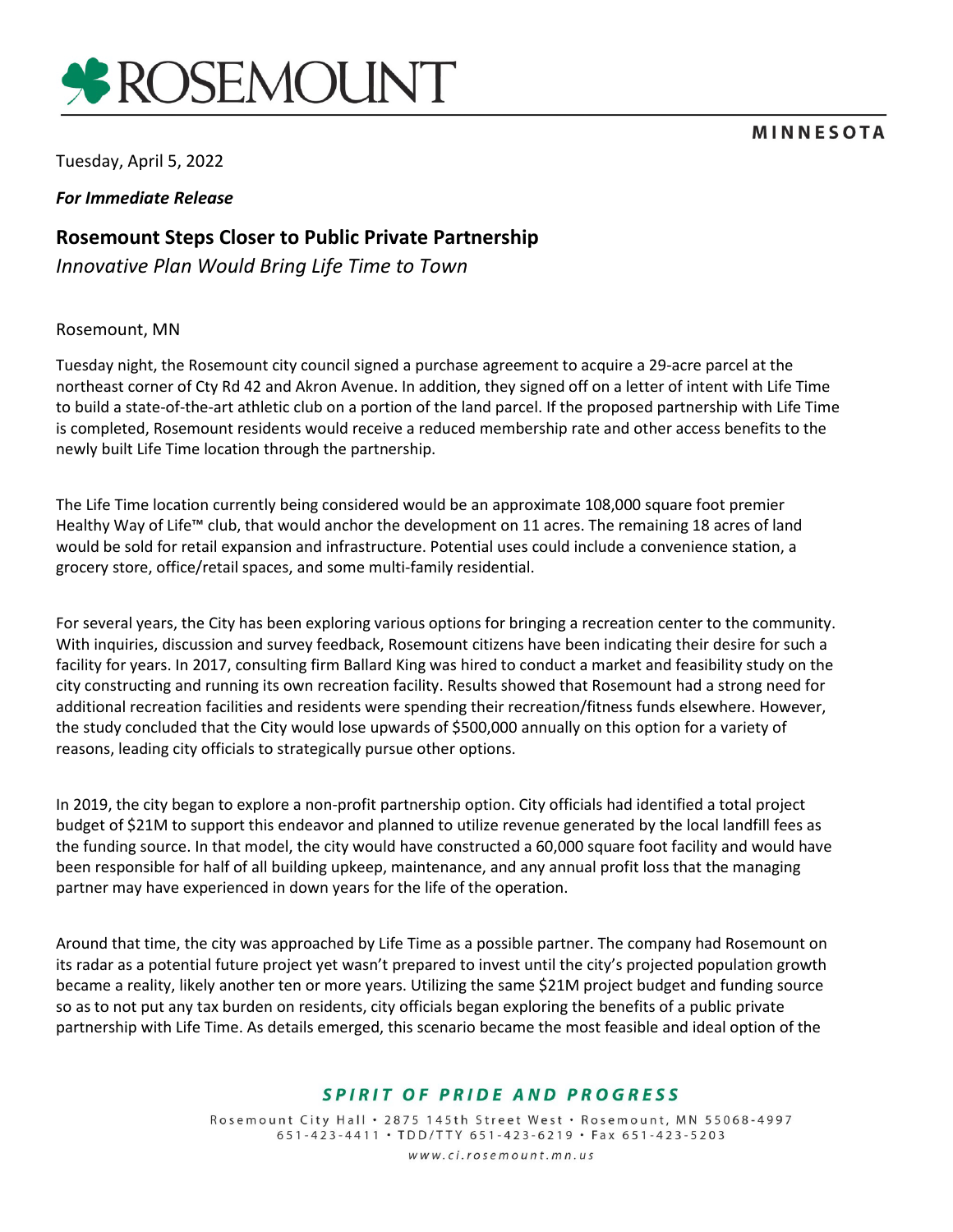

# **MINNESOTA**

Tuesday, April 5, 2022

#### *For Immediate Release*

# **Rosemount Steps Closer to Public Private Partnership**

*Innovative Plan Would Bring Life Time to Town*

#### Rosemount, MN

Tuesday night, the Rosemount city council signed a purchase agreement to acquire a 29-acre parcel at the northeast corner of Cty Rd 42 and Akron Avenue. In addition, they signed off on a letter of intent with Life Time to build a state-of-the-art athletic club on a portion of the land parcel. If the proposed partnership with Life Time is completed, Rosemount residents would receive a reduced membership rate and other access benefits to the newly built Life Time location through the partnership.

The Life Time location currently being considered would be an approximate 108,000 square foot premier Healthy Way of Life™ club, that would anchor the development on 11 acres. The remaining 18 acres of land would be sold for retail expansion and infrastructure. Potential uses could include a convenience station, a grocery store, office/retail spaces, and some multi-family residential.

For several years, the City has been exploring various options for bringing a recreation center to the community. With inquiries, discussion and survey feedback, Rosemount citizens have been indicating their desire for such a facility for years. In 2017, consulting firm Ballard King was hired to conduct a market and feasibility study on the city constructing and running its own recreation facility. Results showed that Rosemount had a strong need for additional recreation facilities and residents were spending their recreation/fitness funds elsewhere. However, the study concluded that the City would lose upwards of \$500,000 annually on this option for a variety of reasons, leading city officials to strategically pursue other options.

In 2019, the city began to explore a non-profit partnership option. City officials had identified a total project budget of \$21M to support this endeavor and planned to utilize revenue generated by the local landfill fees as the funding source. In that model, the city would have constructed a 60,000 square foot facility and would have been responsible for half of all building upkeep, maintenance, and any annual profit loss that the managing partner may have experienced in down years for the life of the operation.

Around that time, the city was approached by Life Time as a possible partner. The company had Rosemount on its radar as a potential future project yet wasn't prepared to invest until the city's projected population growth became a reality, likely another ten or more years. Utilizing the same \$21M project budget and funding source so as to not put any tax burden on residents, city officials began exploring the benefits of a public private partnership with Life Time. As details emerged, this scenario became the most feasible and ideal option of the

# SPIRIT OF PRIDE AND PROGRESS

Rosemount City Hall . 2875 145th Street West . Rosemount, MN 55068-4997 651-423-4411 · TDD/TTY 651-423-6219 · Fax 651-423-5203 www.ci.rosemount.mn.us